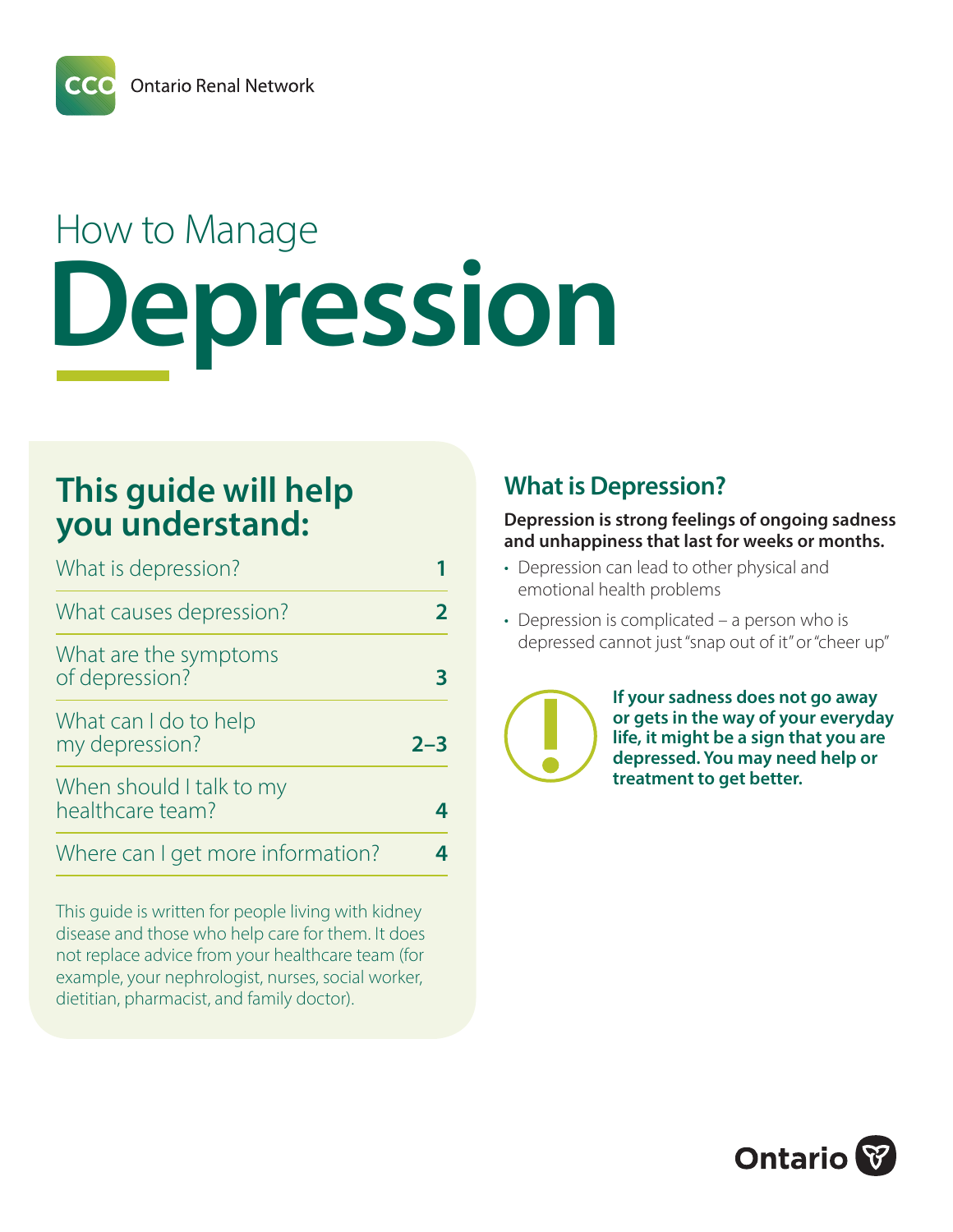**Ontario Renal Network** 

# How to Manage **Depression**

# **This guide will help you understand:**

| What is depression?                                                |  |
|--------------------------------------------------------------------|--|
| What causes depression?<br>What are the symptoms<br>of depression? |  |
|                                                                    |  |
| When should I talk to my<br>healthcare team?                       |  |
| Where can I get more information?                                  |  |

This guide is written for people living with kidney disease and those who help care for them. It does not replace advice from your healthcare team (for example, your nephrologist, nurses, social worker, dietitian, pharmacist, and family doctor).

# **What is Depression?**

#### **Depression is strong feelings of ongoing sadness and unhappiness that last for weeks or months.**

- Depression can lead to other physical and emotional health problems
- Depression is complicated a person who is depressed cannot just "snap out of it" or "cheer up"



**If your sadness does not go away or gets in the way of your everyday life, it might be a sign that you are depressed. You may need help or treatment to get better.**

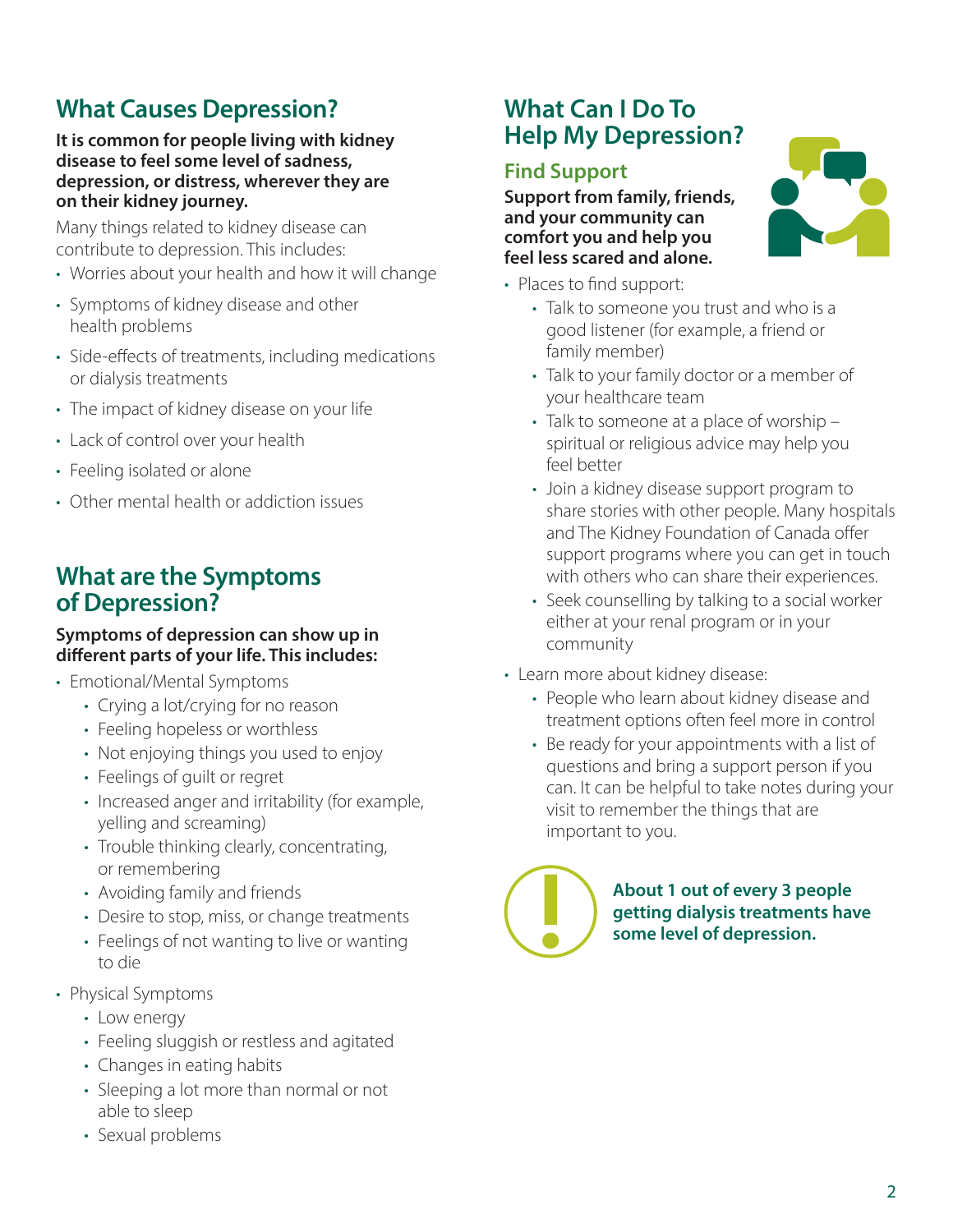# **What Causes Depression?**

#### **It is common for people living with kidney disease to feel some level of sadness, depression, or distress, wherever they are on their kidney journey.**

Many things related to kidney disease can contribute to depression. This includes:

- Worries about your health and how it will change
- Symptoms of kidney disease and other health problems
- Side-effects of treatments, including medications or dialysis treatments
- The impact of kidney disease on your life
- Lack of control over your health
- Feeling isolated or alone
- Other mental health or addiction issues

# **What are the Symptoms of Depression?**

#### **Symptoms of depression can show up in different parts of your life. This includes:**

- Emotional/Mental Symptoms
	- Crying a lot/crying for no reason
	- Feeling hopeless or worthless
	- Not enjoying things you used to enjoy
	- Feelings of guilt or regret
	- Increased anger and irritability (for example, yelling and screaming)
	- Trouble thinking clearly, concentrating, or remembering
	- Avoiding family and friends
	- Desire to stop, miss, or change treatments
	- Feelings of not wanting to live or wanting to die
- Physical Symptoms
	- Low energy
	- Feeling sluggish or restless and agitated
	- Changes in eating habits
	- Sleeping a lot more than normal or not able to sleep
	- Sexual problems

# **What Can I Do To Help My Depression?**

#### **Find Support**

**Support from family, friends, and your community can comfort you and help you feel less scared and alone.** 

- Places to find support:
	- Talk to someone you trust and who is a good listener (for example, a friend or family member)
	- Talk to your family doctor or a member of your healthcare team
	- Talk to someone at a place of worship spiritual or religious advice may help you feel better
	- Join a kidney disease support program to share stories with other people. Many hospitals and The Kidney Foundation of Canada offer support programs where you can get in touch with others who can share their experiences.
	- Seek counselling by talking to a social worker either at your renal program or in your community
- Learn more about kidney disease:
	- People who learn about kidney disease and treatment options often feel more in control
	- Be ready for your appointments with a list of questions and bring a support person if you can. It can be helpful to take notes during your visit to remember the things that are important to you.

**About 1 out of every 3 people getting dialysis treatments have some level of depression.**

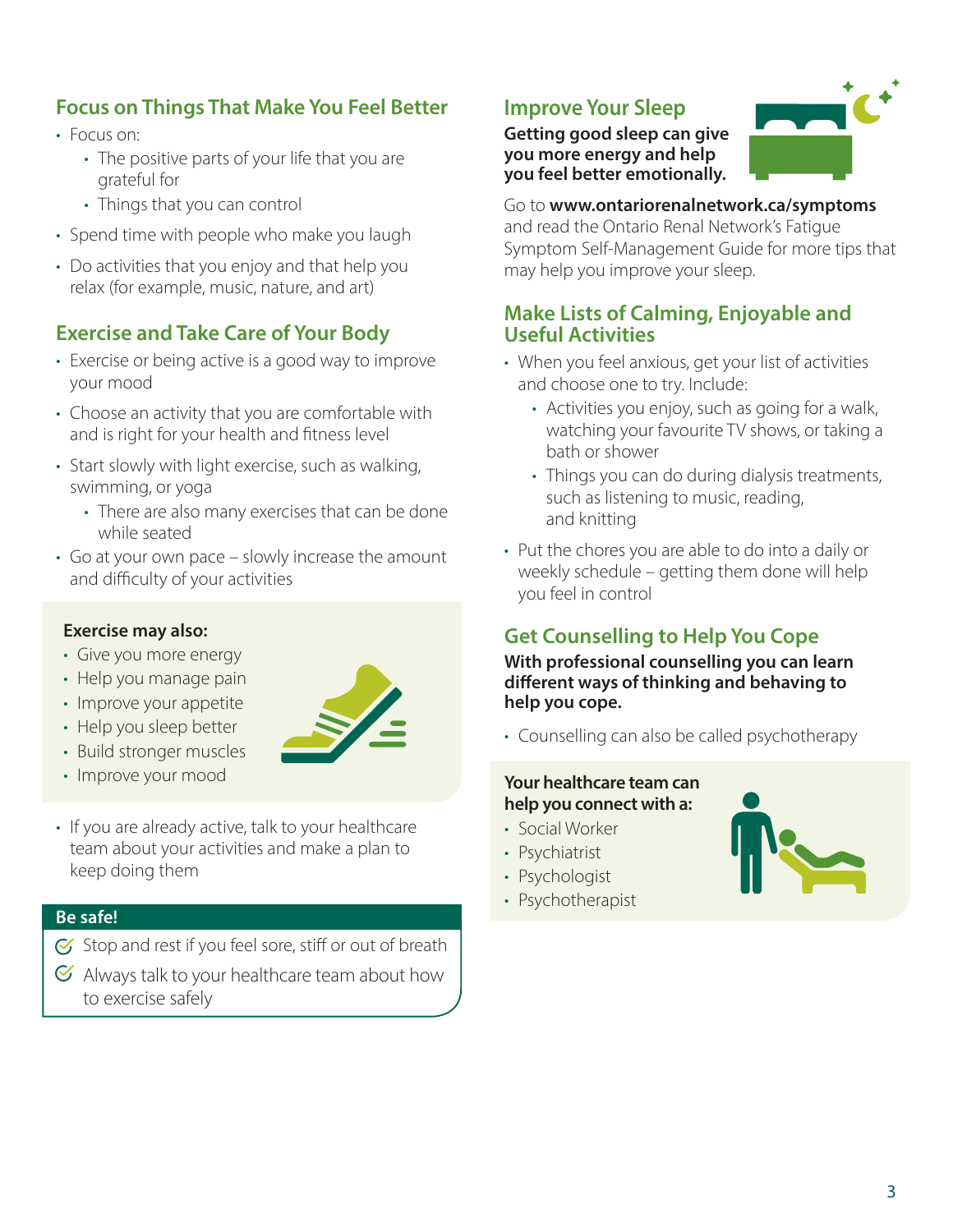### **Focus on Things That Make You Feel Better**

- Focus on:
	- The positive parts of your life that you are grateful for
	- Things that you can control
- Spend time with people who make you laugh
- Do activities that you enjoy and that help you relax (for example, music, nature, and art)

#### **Exercise and Take Care of Your Body**

- Exercise or being active is a good way to improve your mood
- Choose an activity that you are comfortable with and is right for your health and fitness level
- Start slowly with light exercise, such as walking, swimming, or yoga
	- There are also many exercises that can be done while seated
- Go at your own pace slowly increase the amount and difficulty of your activities

#### **Exercise may also:**

- Give you more energy
- Help you manage pain
- Improve your appetite
- Help you sleep better
- Build stronger muscles
- Improve your mood



• If you are already active, talk to your healthcare team about your activities and make a plan to keep doing them

#### **Be safe!**

- $G$  Stop and rest if you feel sore, stiff or out of breath
- $\mathcal G$  Always talk to your healthcare team about how to exercise safely

# **Improve Your Sleep**

**Getting good sleep can give you more energy and help you feel better emotionally.**



#### Go to **www.ontariorenalnetwork.ca/symptoms**

and read the Ontario Renal Network's Fatigue Symptom Self-Management Guide for more tips that may help you improve your sleep.

#### **Make Lists of Calming, Enjoyable and Useful Activities**

- When you feel anxious, get your list of activities and choose one to try. Include:
	- Activities you enjoy, such as going for a walk, watching your favourite TV shows, or taking a bath or shower
	- Things you can do during dialysis treatments, such as listening to music, reading, and knitting
- Put the chores you are able to do into a daily or weekly schedule – getting them done will help you feel in control

## **Get Counselling to Help You Cope**

**With professional counselling you can learn different ways of thinking and behaving to help you cope.**

• Counselling can also be called psychotherapy

#### **Your healthcare team can help you connect with a:**

- Social Worker
- Psychiatrist
- Psychologist
- Psychotherapist